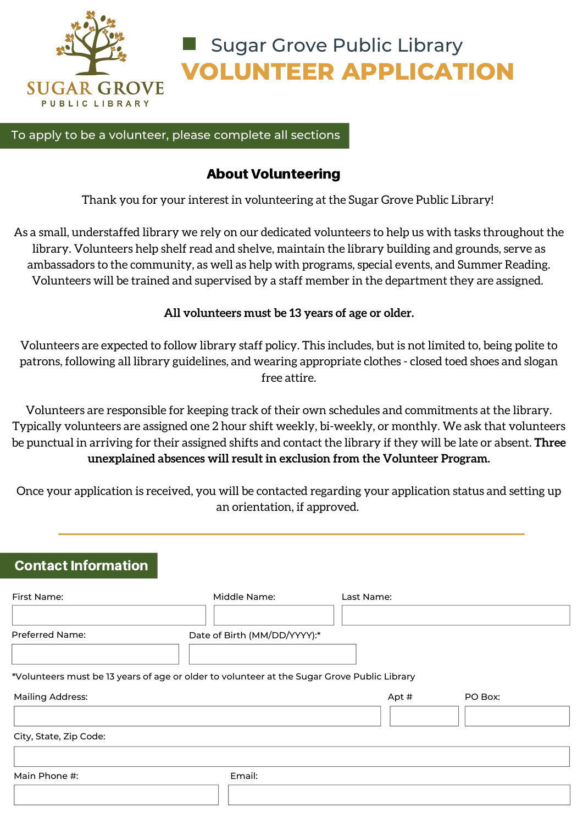

**VOLUNTEER APPLICATION** Sugar Grove Public Library

To apply to be a volunteer, please complete all sections

# About Volunteering

Thank you for your interest in volunteering at the Sugar Grove Public Library!

As a small, understaffed library we rely on our dedicated volunteers to help us with tasks throughout the library. Volunteers help shelf read and shelve, maintain the library building and grounds, serve as ambassadors to the community, as well as help with programs, special events, and Summer Reading. Volunteers will be trained and supervised by a staff member in the department they are assigned.

### **All volunteers must be 13 years of age or older.**

Volunteers are expected to follow library staff policy. This includes, but is not limited to, being polite to patrons, following all library guidelines, and wearing appropriate clothes - closed toed shoes and slogan free attire.

Volunteers are responsible for keeping track of their own schedules and commitments at the library. Typically volunteers are assigned one 2 hour shift weekly, bi-weekly, or monthly. We ask that volunteers be punctual in arriving for their assigned shifts and contact the library if they will be late or absent. **Three unexplained absences will result in exclusion from the Volunteer Program.**

Once your application is received, you will be contacted regarding your application status and setting up an orientation, if approved.

# **Contact Information**

| First Name:                                                                                 | Middle Name:                 | Last Name: |         |
|---------------------------------------------------------------------------------------------|------------------------------|------------|---------|
|                                                                                             |                              |            |         |
| <b>Preferred Name:</b>                                                                      | Date of Birth (MM/DD/YYYY):* |            |         |
| *Volunteers must be 13 years of age or older to volunteer at the Sugar Grove Public Library |                              |            |         |
| <b>Mailing Address:</b>                                                                     |                              | Apt #      | PO Box: |
|                                                                                             |                              |            |         |
| City, State, Zip Code:                                                                      |                              |            |         |
|                                                                                             |                              |            |         |
| Main Phone #:                                                                               | Email:                       |            |         |
|                                                                                             |                              |            |         |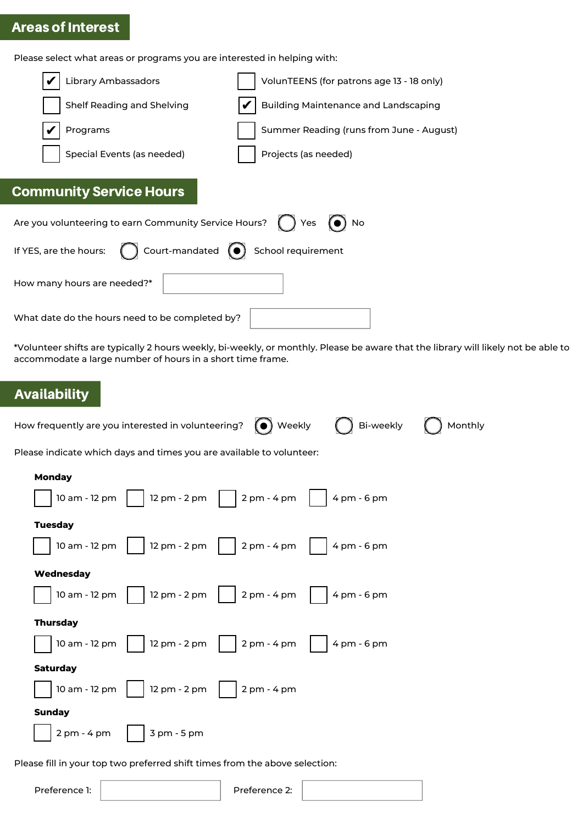# Areas of Interest

Please select what areas or programs you are interested in helping with:

| Library Ambassadors                                   | VolunTEENS (for patrons age 13 - 18 only)   |
|-------------------------------------------------------|---------------------------------------------|
| Shelf Reading and Shelving                            | <b>Building Maintenance and Landscaping</b> |
| Programs                                              | Summer Reading (runs from June - August)    |
| Special Events (as needed)                            | Projects (as needed)                        |
| <b>Community Service Hours</b>                        |                                             |
| Are you volunteering to earn Community Service Hours? | Yes $\left(\bullet\right)$ No               |
| Court-mandated $\odot$<br>If YES, are the hours:      | School requirement                          |
| How many hours are needed?*                           |                                             |
| What date do the hours need to be completed by?       |                                             |

\*Volunteer shifts are typically 2 hours weekly, bi-weekly, or monthly. Please be aware that the library will likely not be able to accommodate a large number of hours in a short time frame.

# Availability

| How frequently are you interested in volunteering?                                                                                                          | $\bigodot$ Weekly $\ \ \bigodot$ Bi-weekly | Monthly |
|-------------------------------------------------------------------------------------------------------------------------------------------------------------|--------------------------------------------|---------|
| Please indicate which days and times you are available to volunteer:                                                                                        |                                            |         |
| <b>Monday</b><br>    12 pm - 2 pm     2 pm - 4 pm     4 pm - 6 pm<br>10 am - 12 pm                                                                          |                                            |         |
| <b>Tuesday</b>                                                                                                                                              |                                            |         |
| 12 pm - 2 pm     2 pm - 4 pm     4 pm - 6 pm<br>10 am - 12 pm<br>Wednesday                                                                                  |                                            |         |
| 10 am - 12 pm $\begin{vmatrix} 12 \text{ pm} - 2 \text{ pm} \end{vmatrix}$ 2 pm - 4 pm $\begin{vmatrix} 4 \text{ pm} \end{vmatrix}$ 6 pm                    |                                            |         |
| <b>Thursday</b><br>10 am - 12 pm $\begin{vmatrix} 12 \text{ pm} - 2 \text{ pm} \end{vmatrix}$ 2 pm - 4 pm $\begin{vmatrix} 4 \text{ pm} \end{vmatrix}$ 6 pm |                                            |         |
| <b>Saturday</b>                                                                                                                                             |                                            |         |
| 10 am - 12 pm $\vert$ 12 pm - 2 pm $\vert$ 2 pm - 4 pm                                                                                                      |                                            |         |
| <b>Sunday</b>                                                                                                                                               |                                            |         |
| $2 \text{ pm} - 4 \text{ pm}$   $3 \text{ pm} - 5 \text{ pm}$                                                                                               |                                            |         |
| Please fill in your top two preferred shift times from the above selection:                                                                                 |                                            |         |

Preference 1:  $\vert$  Preference 2: